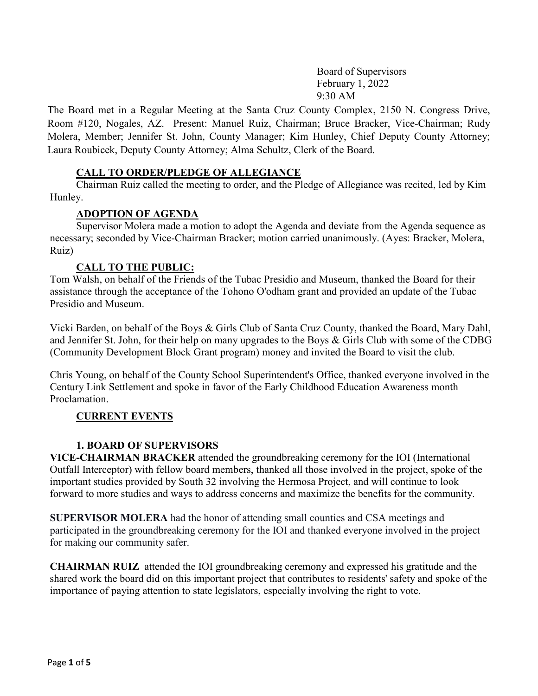Board of Supervisors February 1, 2022 9:30 AM

The Board met in a Regular Meeting at the Santa Cruz County Complex, 2150 N. Congress Drive, Room #120, Nogales, AZ. Present: Manuel Ruiz, Chairman; Bruce Bracker, Vice-Chairman; Rudy Molera, Member; Jennifer St. John, County Manager; Kim Hunley, Chief Deputy County Attorney; Laura Roubicek, Deputy County Attorney; Alma Schultz, Clerk of the Board.

# **CALL TO ORDER/PLEDGE OF ALLEGIANCE**

Chairman Ruiz called the meeting to order, and the Pledge of Allegiance was recited, led by Kim Hunley.

# **ADOPTION OF AGENDA**

Supervisor Molera made a motion to adopt the Agenda and deviate from the Agenda sequence as necessary; seconded by Vice-Chairman Bracker; motion carried unanimously. (Ayes: Bracker, Molera, Ruiz)

# **CALL TO THE PUBLIC:**

Tom Walsh, on behalf of the Friends of the Tubac Presidio and Museum, thanked the Board for their assistance through the acceptance of the Tohono O'odham grant and provided an update of the Tubac Presidio and Museum.

Vicki Barden, on behalf of the Boys & Girls Club of Santa Cruz County, thanked the Board, Mary Dahl, and Jennifer St. John, for their help on many upgrades to the Boys & Girls Club with some of the CDBG (Community Development Block Grant program) money and invited the Board to visit the club.

Chris Young, on behalf of the County School Superintendent's Office, thanked everyone involved in the Century Link Settlement and spoke in favor of the Early Childhood Education Awareness month Proclamation.

# **CURRENT EVENTS**

# **1. BOARD OF SUPERVISORS**

**VICE-CHAIRMAN BRACKER** attended the groundbreaking ceremony for the IOI (International Outfall Interceptor) with fellow board members, thanked all those involved in the project, spoke of the important studies provided by South 32 involving the Hermosa Project, and will continue to look forward to more studies and ways to address concerns and maximize the benefits for the community.

**SUPERVISOR MOLERA** had the honor of attending small counties and CSA meetings and participated in the groundbreaking ceremony for the IOI and thanked everyone involved in the project for making our community safer.

**CHAIRMAN RUIZ** attended the IOI groundbreaking ceremony and expressed his gratitude and the shared work the board did on this important project that contributes to residents' safety and spoke of the importance of paying attention to state legislators, especially involving the right to vote.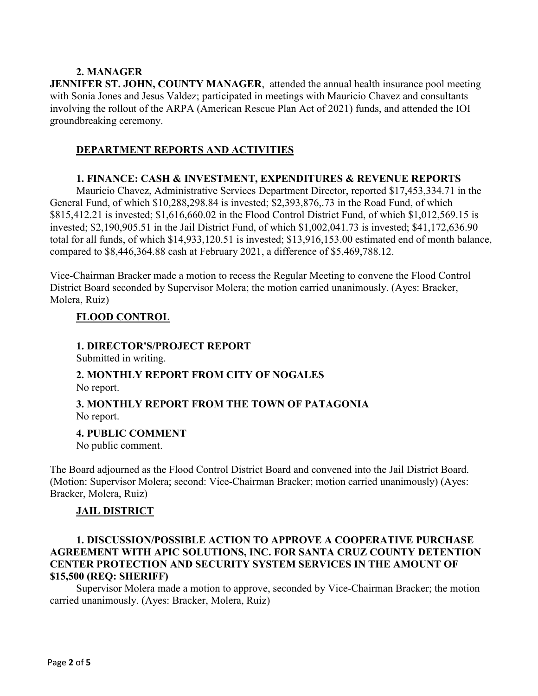### **2. MANAGER**

**JENNIFER ST. JOHN, COUNTY MANAGER**, attended the annual health insurance pool meeting with Sonia Jones and Jesus Valdez; participated in meetings with Mauricio Chavez and consultants involving the rollout of the ARPA (American Rescue Plan Act of 2021) funds, and attended the IOI groundbreaking ceremony.

### **DEPARTMENT REPORTS AND ACTIVITIES**

#### **1. FINANCE: CASH & INVESTMENT, EXPENDITURES & REVENUE REPORTS**

Mauricio Chavez, Administrative Services Department Director, reported \$17,453,334.71 in the General Fund, of which \$10,288,298.84 is invested; \$2,393,876,.73 in the Road Fund, of which \$815,412.21 is invested; \$1,616,660.02 in the Flood Control District Fund, of which \$1,012,569.15 is invested; \$2,190,905.51 in the Jail District Fund, of which \$1,002,041.73 is invested; \$41,172,636.90 total for all funds, of which \$14,933,120.51 is invested; \$13,916,153.00 estimated end of month balance, compared to \$8,446,364.88 cash at February 2021, a difference of \$5,469,788.12.

Vice-Chairman Bracker made a motion to recess the Regular Meeting to convene the Flood Control District Board seconded by Supervisor Molera; the motion carried unanimously. (Ayes: Bracker, Molera, Ruiz)

## **FLOOD CONTROL**

#### **1. DIRECTOR'S/PROJECT REPORT**

Submitted in writing.

# **2. MONTHLY REPORT FROM CITY OF NOGALES**

No report.

## **3. MONTHLY REPORT FROM THE TOWN OF PATAGONIA** No report.

#### **4. PUBLIC COMMENT**

No public comment.

The Board adjourned as the Flood Control District Board and convened into the Jail District Board. (Motion: Supervisor Molera; second: Vice-Chairman Bracker; motion carried unanimously) (Ayes: Bracker, Molera, Ruiz)

# **JAIL DISTRICT**

# **1. DISCUSSION/POSSIBLE ACTION TO APPROVE A COOPERATIVE PURCHASE AGREEMENT WITH APIC SOLUTIONS, INC. FOR SANTA CRUZ COUNTY DETENTION CENTER PROTECTION AND SECURITY SYSTEM SERVICES IN THE AMOUNT OF \$15,500 (REQ: SHERIFF)**

Supervisor Molera made a motion to approve, seconded by Vice-Chairman Bracker; the motion carried unanimously. (Ayes: Bracker, Molera, Ruiz)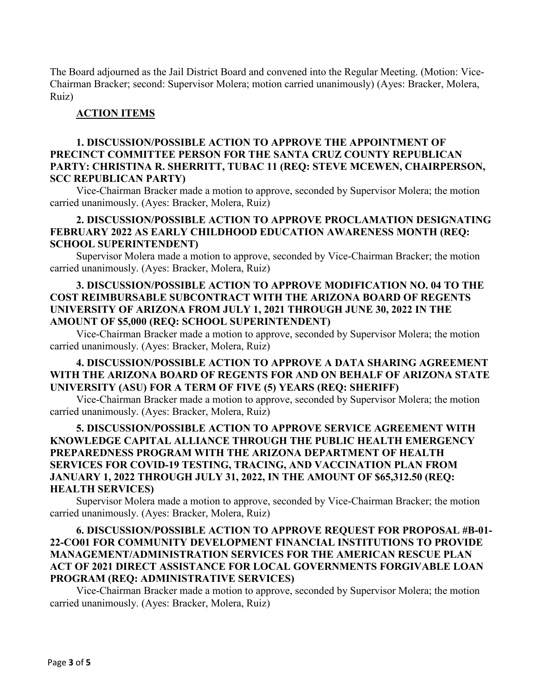The Board adjourned as the Jail District Board and convened into the Regular Meeting. (Motion: Vice-Chairman Bracker; second: Supervisor Molera; motion carried unanimously) (Ayes: Bracker, Molera, Ruiz)

#### **ACTION ITEMS**

# **1. DISCUSSION/POSSIBLE ACTION TO APPROVE THE APPOINTMENT OF PRECINCT COMMITTEE PERSON FOR THE SANTA CRUZ COUNTY REPUBLICAN PARTY: CHRISTINA R. SHERRITT, TUBAC 11 (REQ: STEVE MCEWEN, CHAIRPERSON, SCC REPUBLICAN PARTY)**

Vice-Chairman Bracker made a motion to approve, seconded by Supervisor Molera; the motion carried unanimously. (Ayes: Bracker, Molera, Ruiz)

#### **2. DISCUSSION/POSSIBLE ACTION TO APPROVE PROCLAMATION DESIGNATING FEBRUARY 2022 AS EARLY CHILDHOOD EDUCATION AWARENESS MONTH (REQ: SCHOOL SUPERINTENDENT)**

Supervisor Molera made a motion to approve, seconded by Vice-Chairman Bracker; the motion carried unanimously. (Ayes: Bracker, Molera, Ruiz)

## **3. DISCUSSION/POSSIBLE ACTION TO APPROVE MODIFICATION NO. 04 TO THE COST REIMBURSABLE SUBCONTRACT WITH THE ARIZONA BOARD OF REGENTS UNIVERSITY OF ARIZONA FROM JULY 1, 2021 THROUGH JUNE 30, 2022 IN THE AMOUNT OF \$5,000 (REQ: SCHOOL SUPERINTENDENT)**

Vice-Chairman Bracker made a motion to approve, seconded by Supervisor Molera; the motion carried unanimously. (Ayes: Bracker, Molera, Ruiz)

# **4. DISCUSSION/POSSIBLE ACTION TO APPROVE A DATA SHARING AGREEMENT WITH THE ARIZONA BOARD OF REGENTS FOR AND ON BEHALF OF ARIZONA STATE UNIVERSITY (ASU) FOR A TERM OF FIVE (5) YEARS (REQ: SHERIFF)**

Vice-Chairman Bracker made a motion to approve, seconded by Supervisor Molera; the motion carried unanimously. (Ayes: Bracker, Molera, Ruiz)

# **5. DISCUSSION/POSSIBLE ACTION TO APPROVE SERVICE AGREEMENT WITH KNOWLEDGE CAPITAL ALLIANCE THROUGH THE PUBLIC HEALTH EMERGENCY PREPAREDNESS PROGRAM WITH THE ARIZONA DEPARTMENT OF HEALTH SERVICES FOR COVID-19 TESTING, TRACING, AND VACCINATION PLAN FROM JANUARY 1, 2022 THROUGH JULY 31, 2022, IN THE AMOUNT OF \$65,312.50 (REQ: HEALTH SERVICES)**

Supervisor Molera made a motion to approve, seconded by Vice-Chairman Bracker; the motion carried unanimously. (Ayes: Bracker, Molera, Ruiz)

## **6. DISCUSSION/POSSIBLE ACTION TO APPROVE REQUEST FOR PROPOSAL #B-01- 22-CO01 FOR COMMUNITY DEVELOPMENT FINANCIAL INSTITUTIONS TO PROVIDE MANAGEMENT/ADMINISTRATION SERVICES FOR THE AMERICAN RESCUE PLAN ACT OF 2021 DIRECT ASSISTANCE FOR LOCAL GOVERNMENTS FORGIVABLE LOAN PROGRAM (REQ: ADMINISTRATIVE SERVICES)**

Vice-Chairman Bracker made a motion to approve, seconded by Supervisor Molera; the motion carried unanimously. (Ayes: Bracker, Molera, Ruiz)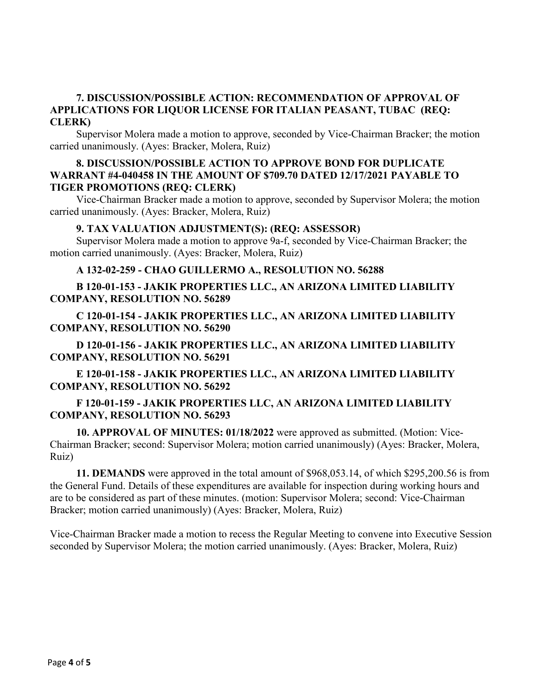### **7. DISCUSSION/POSSIBLE ACTION: RECOMMENDATION OF APPROVAL OF APPLICATIONS FOR LIQUOR LICENSE FOR ITALIAN PEASANT, TUBAC (REQ: CLERK)**

Supervisor Molera made a motion to approve, seconded by Vice-Chairman Bracker; the motion carried unanimously. (Ayes: Bracker, Molera, Ruiz)

#### **8. DISCUSSION/POSSIBLE ACTION TO APPROVE BOND FOR DUPLICATE WARRANT #4-040458 IN THE AMOUNT OF \$709.70 DATED 12/17/2021 PAYABLE TO TIGER PROMOTIONS (REQ: CLERK)**

Vice-Chairman Bracker made a motion to approve, seconded by Supervisor Molera; the motion carried unanimously. (Ayes: Bracker, Molera, Ruiz)

#### **9. TAX VALUATION ADJUSTMENT(S): (REQ: ASSESSOR)**

Supervisor Molera made a motion to approve 9a-f, seconded by Vice-Chairman Bracker; the motion carried unanimously. (Ayes: Bracker, Molera, Ruiz)

#### **A 132-02-259 - CHAO GUILLERMO A., RESOLUTION NO. 56288**

**B 120-01-153 - JAKIK PROPERTIES LLC., AN ARIZONA LIMITED LIABILITY COMPANY, RESOLUTION NO. 56289**

**C 120-01-154 - JAKIK PROPERTIES LLC., AN ARIZONA LIMITED LIABILITY COMPANY, RESOLUTION NO. 56290**

**D 120-01-156 - JAKIK PROPERTIES LLC., AN ARIZONA LIMITED LIABILITY COMPANY, RESOLUTION NO. 56291**

**E 120-01-158 - JAKIK PROPERTIES LLC., AN ARIZONA LIMITED LIABILITY COMPANY, RESOLUTION NO. 56292**

## **F 120-01-159 - JAKIK PROPERTIES LLC, AN ARIZONA LIMITED LIABILITY COMPANY, RESOLUTION NO. 56293**

**10. APPROVAL OF MINUTES: 01/18/2022** were approved as submitted. (Motion: Vice-Chairman Bracker; second: Supervisor Molera; motion carried unanimously) (Ayes: Bracker, Molera, Ruiz)

**11. DEMANDS** were approved in the total amount of \$968,053.14, of which \$295,200.56 is from the General Fund. Details of these expenditures are available for inspection during working hours and are to be considered as part of these minutes. (motion: Supervisor Molera; second: Vice-Chairman Bracker; motion carried unanimously) (Ayes: Bracker, Molera, Ruiz)

Vice-Chairman Bracker made a motion to recess the Regular Meeting to convene into Executive Session seconded by Supervisor Molera; the motion carried unanimously. (Ayes: Bracker, Molera, Ruiz)